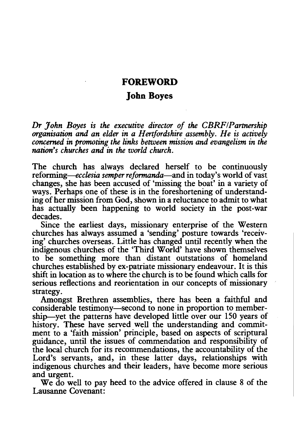## **FOREWORD**

## **John Boyes**

*Dr John Boyes is the executive director of the CERF/Partnership organisation and an elder in a Hertfordshire assembly. He is actively concerned in promoting the links between mission and evangelism in the nation's churches and in the world church.* 

The church has always declared herself to be continuously *reforming—ecclesia semper reformanda—and in today's world of vast* changes, she has been accused of 'missing the boat' in a variety of ways. Perhaps one of these is in the foreshortening of understanding of her mission from God, shown in a reluctance to admit to what has actually been happening to world society in the post-war decades.

Since the earliest days, missionary enterprise of the Western churches has always assumed a 'sending' posture towards 'receiving' churches overseas. Little has changed until recently when the indigenous churches of the 'Third World' have shown themselves to be something more than distant outstations of homeland churches established by ex-patriate missionary endeavour. It is this shift in location as to where the church is to be found which calls for serious reflections and reorientation in our concepts of missionary strategy.

Amongst Brethren assemblies, there has been a faithful and considerable testimony-second to none in proportion to membership—yet the patterns have developed little over our 150 years of history. These have served well the understanding and commitment to a 'faith mission' principle, based on aspects of scriptural guidance, until the issues of commendation and responsibility of the local church for its recommendations, the accountability of the Lord's servants, and, in these latter days, relationships with indigenous churches and their leaders, have become more serious and urgent.

We do well to pay heed to the advice offered in clause 8 of the Lausanne Covenant: